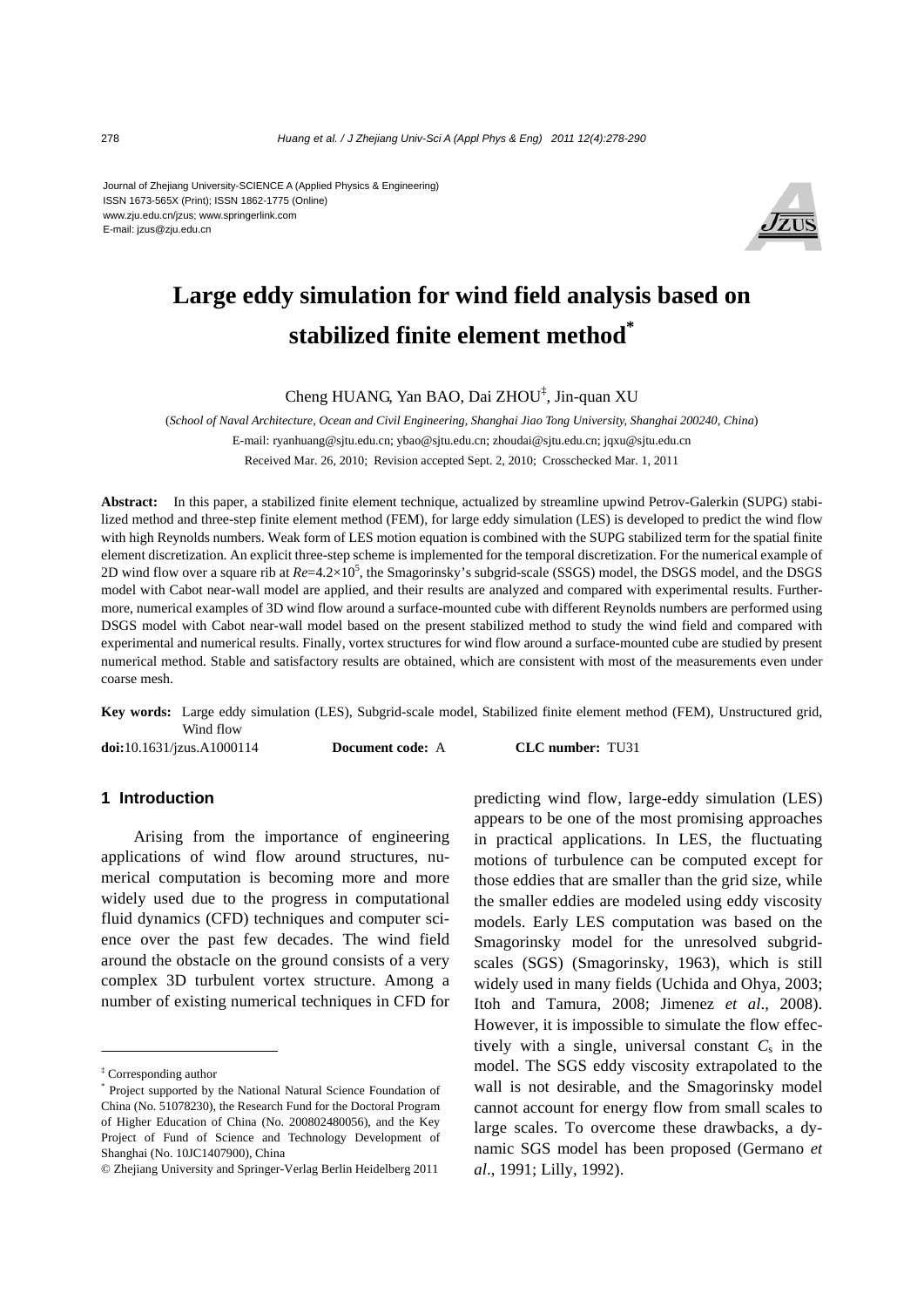Journal of Zhejiang University-SCIENCE A (Applied Physics & Engineering) ISSN 1673-565X (Print); ISSN 1862-1775 (Online) www.zju.edu.cn/jzus; www.springerlink.com E-mail: jzus@zju.edu.cn



# **Large eddy simulation for wind field analysis based on stabilized finite element method\***

Cheng HUANG, Yan BAO, Dai ZHOU‡ , Jin-quan XU

(*School of Naval Architecture, Ocean and Civil Engineering, Shanghai Jiao Tong University, Shanghai 200240, China*) E-mail: ryanhuang@sjtu.edu.cn; ybao@sjtu.edu.cn; zhoudai@sjtu.edu.cn; jqxu@sjtu.edu.cn Received Mar. 26, 2010; Revision accepted Sept. 2, 2010; Crosschecked Mar. 1, 2011

**Abstract:** In this paper, a stabilized finite element technique, actualized by streamline upwind Petrov-Galerkin (SUPG) stabilized method and three-step finite element method (FEM), for large eddy simulation (LES) is developed to predict the wind flow with high Reynolds numbers. Weak form of LES motion equation is combined with the SUPG stabilized term for the spatial finite element discretization. An explicit three-step scheme is implemented for the temporal discretization. For the numerical example of 2D wind flow over a square rib at  $Re=4.2\times10^5$ , the Smagorinsky's subgrid-scale (SSGS) model, the DSGS model, and the DSGS model with Cabot near-wall model are applied, and their results are analyzed and compared with experimental results. Furthermore, numerical examples of 3D wind flow around a surface-mounted cube with different Reynolds numbers are performed using DSGS model with Cabot near-wall model based on the present stabilized method to study the wind field and compared with experimental and numerical results. Finally, vortex structures for wind flow around a surface-mounted cube are studied by present numerical method. Stable and satisfactory results are obtained, which are consistent with most of the measurements even under coarse mesh.

**Key words:** Large eddy simulation (LES), Subgrid-scale model, Stabilized finite element method (FEM), Unstructured grid, Wind flow **doi:**10.1631/jzus.A1000114 **Document code:** A **CLC number:** TU31

## **1 Introduction**

Arising from the importance of engineering applications of wind flow around structures, numerical computation is becoming more and more widely used due to the progress in computational fluid dynamics (CFD) techniques and computer science over the past few decades. The wind field around the obstacle on the ground consists of a very complex 3D turbulent vortex structure. Among a number of existing numerical techniques in CFD for

predicting wind flow, large-eddy simulation (LES) appears to be one of the most promising approaches in practical applications. In LES, the fluctuating motions of turbulence can be computed except for those eddies that are smaller than the grid size, while the smaller eddies are modeled using eddy viscosity models. Early LES computation was based on the Smagorinsky model for the unresolved subgridscales (SGS) (Smagorinsky, 1963), which is still widely used in many fields (Uchida and Ohya, 2003; Itoh and Tamura, 2008; Jimenez *et al*., 2008). However, it is impossible to simulate the flow effectively with a single, universal constant  $C_s$  in the model. The SGS eddy viscosity extrapolated to the wall is not desirable, and the Smagorinsky model cannot account for energy flow from small scales to large scales. To overcome these drawbacks, a dynamic SGS model has been proposed (Germano *et al*., 1991; Lilly, 1992).

<sup>‡</sup> Corresponding author

<sup>\*</sup> Project supported by the National Natural Science Foundation of China (No. 51078230), the Research Fund for the Doctoral Program of Higher Education of China (No. 200802480056), and the Key Project of Fund of Science and Technology Development of Shanghai (No. 10JC1407900), China

<sup>©</sup> Zhejiang University and Springer-Verlag Berlin Heidelberg 2011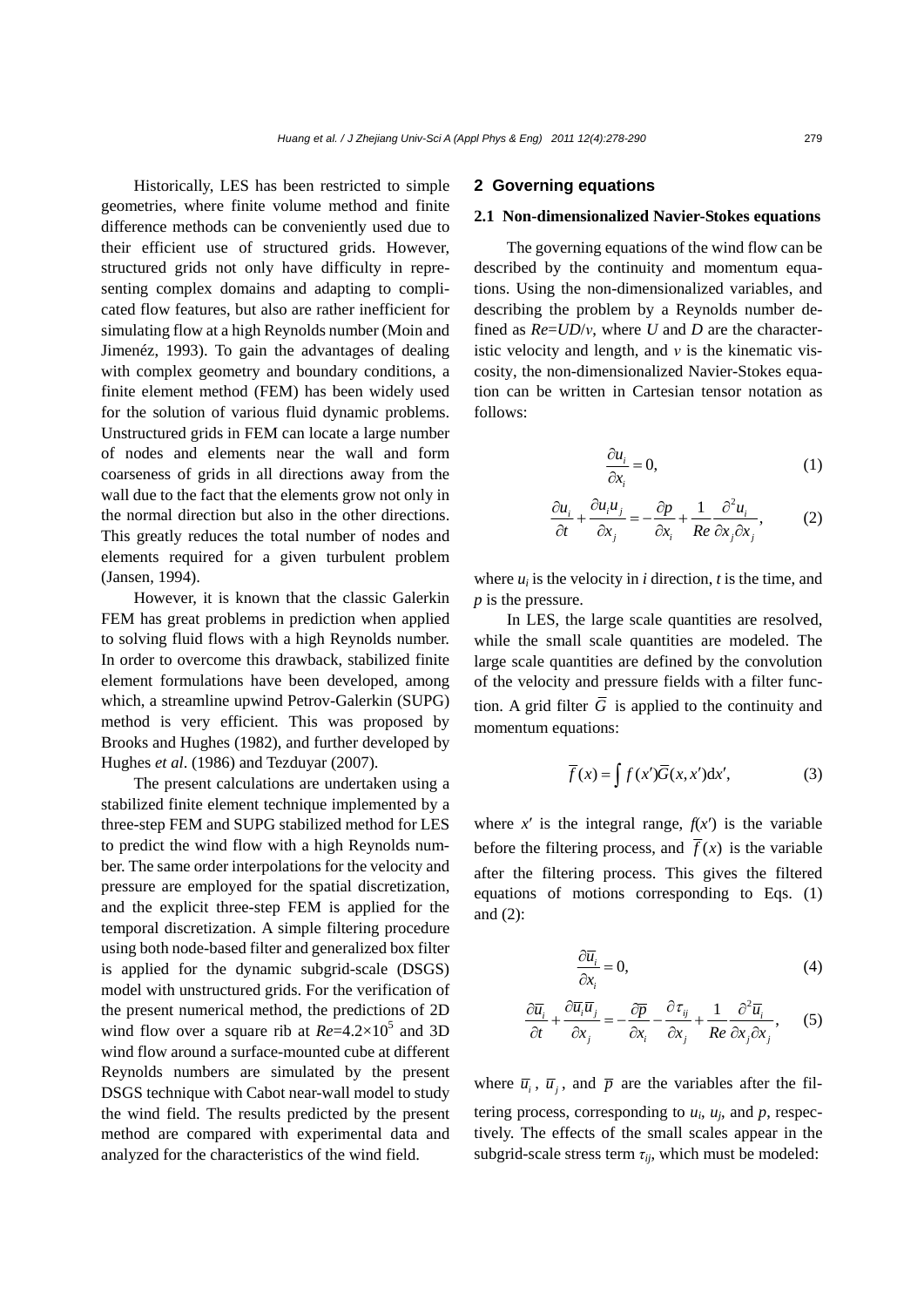Historically, LES has been restricted to simple geometries, where finite volume method and finite difference methods can be conveniently used due to their efficient use of structured grids. However, structured grids not only have difficulty in representing complex domains and adapting to complicated flow features, but also are rather inefficient for simulating flow at a high Reynolds number (Moin and Jimenéz, 1993). To gain the advantages of dealing with complex geometry and boundary conditions, a finite element method (FEM) has been widely used for the solution of various fluid dynamic problems. Unstructured grids in FEM can locate a large number of nodes and elements near the wall and form coarseness of grids in all directions away from the wall due to the fact that the elements grow not only in the normal direction but also in the other directions. This greatly reduces the total number of nodes and elements required for a given turbulent problem (Jansen, 1994).

However, it is known that the classic Galerkin FEM has great problems in prediction when applied to solving fluid flows with a high Reynolds number. In order to overcome this drawback, stabilized finite element formulations have been developed, among which, a streamline upwind Petrov-Galerkin (SUPG) method is very efficient. This was proposed by Brooks and Hughes (1982), and further developed by Hughes *et al*. (1986) and Tezduyar (2007).

The present calculations are undertaken using a stabilized finite element technique implemented by a three-step FEM and SUPG stabilized method for LES to predict the wind flow with a high Reynolds number. The same order interpolations for the velocity and pressure are employed for the spatial discretization, and the explicit three-step FEM is applied for the temporal discretization. A simple filtering procedure using both node-based filter and generalized box filter is applied for the dynamic subgrid-scale (DSGS) model with unstructured grids. For the verification of the present numerical method, the predictions of 2D wind flow over a square rib at  $Re=4.2\times10^5$  and 3D wind flow around a surface-mounted cube at different Reynolds numbers are simulated by the present DSGS technique with Cabot near-wall model to study the wind field. The results predicted by the present method are compared with experimental data and analyzed for the characteristics of the wind field.

## **2 Governing equations**

### **2.1 Non-dimensionalized Navier-Stokes equations**

The governing equations of the wind flow can be described by the continuity and momentum equations. Using the non-dimensionalized variables, and describing the problem by a Reynolds number defined as *Re*=*UD*/*ν*, where *U* and *D* are the characteristic velocity and length, and *ν* is the kinematic viscosity, the non-dimensionalized Navier-Stokes equation can be written in Cartesian tensor notation as follows:

$$
\frac{\partial u_i}{\partial x_i} = 0,\t\t(1)
$$

$$
\frac{\partial u_i}{\partial t} + \frac{\partial u_i u_j}{\partial x_j} = -\frac{\partial p}{\partial x_i} + \frac{1}{Re} \frac{\partial^2 u_i}{\partial x_j \partial x_j},
$$
 (2)

where  $u_i$  is the velocity in *i* direction, *t* is the time, and *p* is the pressure.

In LES, the large scale quantities are resolved, while the small scale quantities are modeled. The large scale quantities are defined by the convolution of the velocity and pressure fields with a filter function. A grid filter  $\overline{G}$  is applied to the continuity and momentum equations:

$$
\overline{f}(x) = \int f(x')\overline{G}(x, x')dx',
$$
 (3)

where  $x'$  is the integral range,  $f(x')$  is the variable before the filtering process, and  $\overline{f}(x)$  is the variable after the filtering process. This gives the filtered equations of motions corresponding to Eqs. (1) and (2):

$$
\frac{\partial \overline{u_i}}{\partial x_i} = 0,\tag{4}
$$

$$
\frac{\partial \overline{u}_i}{\partial t} + \frac{\partial \overline{u}_i \overline{u}_j}{\partial x_j} = -\frac{\partial \overline{p}}{\partial x_i} - \frac{\partial \overline{\tau}_{ij}}{\partial x_j} + \frac{1}{Re} \frac{\partial^2 \overline{u}_i}{\partial x_j \partial x_j},
$$
(5)

where  $\overline{u}_i$ ,  $\overline{u}_i$ , and  $\overline{p}$  are the variables after the filtering process, corresponding to  $u_i$ ,  $u_j$ , and  $p$ , respectively. The effects of the small scales appear in the subgrid-scale stress term *τij*, which must be modeled: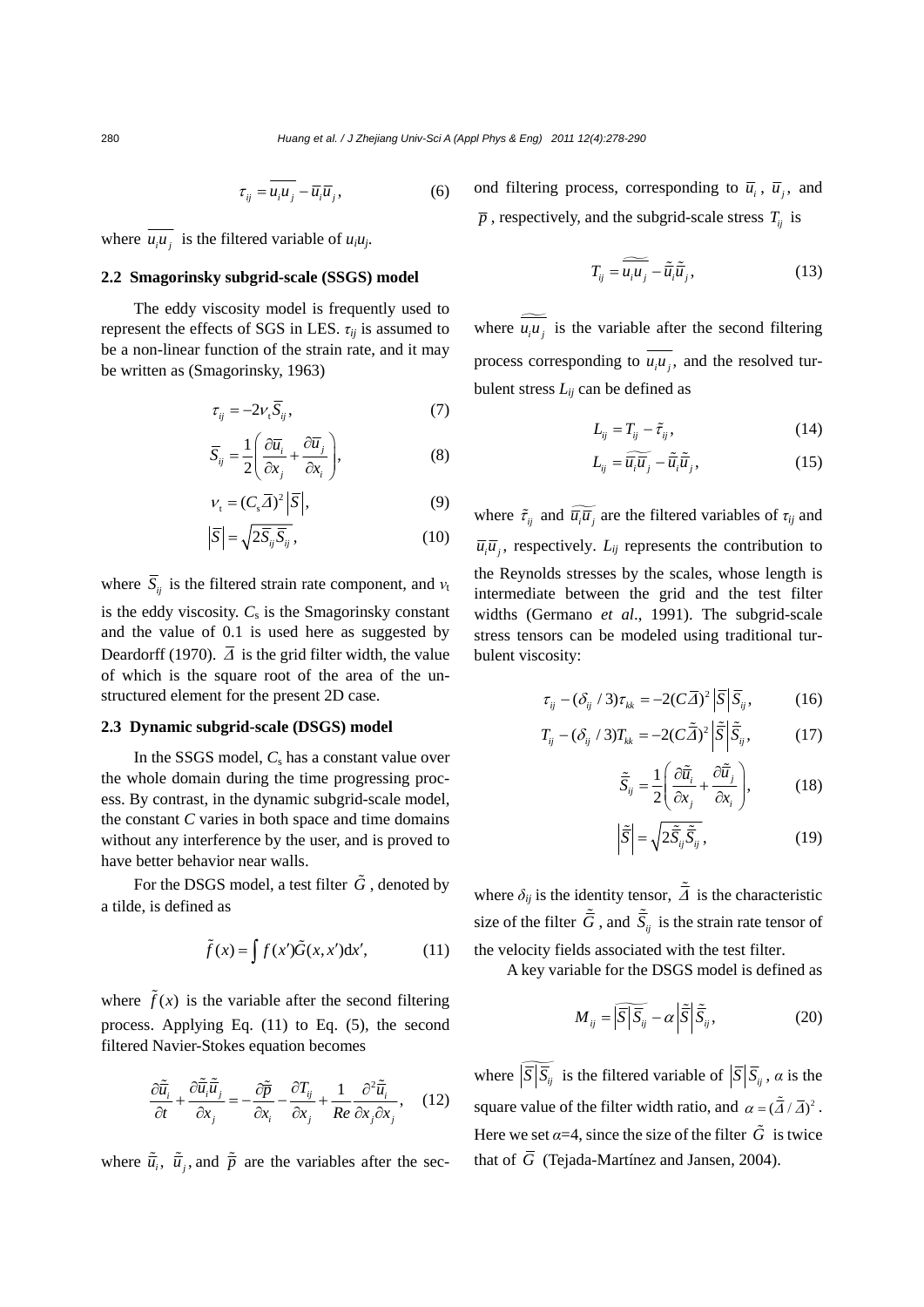$$
\tau_{ij} = \overline{u_i u_j} - \overline{u_i} \overline{u}_j, \qquad (6)
$$

where  $\overline{u_i u_j}$  is the filtered variable of  $u_i u_j$ .

### **2.2 Smagorinsky subgrid-scale (SSGS) model**

The eddy viscosity model is frequently used to represent the effects of SGS in LES. *τij* is assumed to be a non-linear function of the strain rate, and it may be written as (Smagorinsky, 1963)

$$
\tau_{ij} = -2v_{t}\overline{S}_{ij},\tag{7}
$$

$$
\overline{S}_{ij} = \frac{1}{2} \left( \frac{\partial \overline{u}_i}{\partial x_j} + \frac{\partial \overline{u}_j}{\partial x_i} \right),
$$
 (8)

$$
V_t = (C_s \overline{A})^2 \left| \overline{S} \right|, \tag{9}
$$

$$
\left|\overline{S}\right| = \sqrt{2\overline{S}_{ij}\overline{S}_{ij}},\tag{10}
$$

where  $\overline{S}_{ij}$  is the filtered strain rate component, and  $v_t$ is the eddy viscosity.  $C_s$  is the Smagorinsky constant and the value of 0.1 is used here as suggested by Deardorff (1970).  $\overline{\Delta}$  is the grid filter width, the value of which is the square root of the area of the unstructured element for the present 2D case.

### **2.3 Dynamic subgrid-scale (DSGS) model**

In the SSGS model,  $C_s$  has a constant value over the whole domain during the time progressing process. By contrast, in the dynamic subgrid-scale model, the constant *C* varies in both space and time domains without any interference by the user, and is proved to have better behavior near walls.

For the DSGS model, a test filter  $\tilde{G}$ , denoted by a tilde, is defined as

$$
\tilde{f}(x) = \int f(x')\tilde{G}(x, x')dx', \qquad (11)
$$

where  $\tilde{f}(x)$  is the variable after the second filtering process. Applying Eq. (11) to Eq. (5), the second filtered Navier-Stokes equation becomes

$$
\frac{\partial \tilde{\overline{u}}_i}{\partial t} + \frac{\partial \tilde{\overline{u}}_i \tilde{\overline{u}}_j}{\partial x_j} = -\frac{\partial \tilde{\overline{p}}}{\partial x_i} - \frac{\partial T_{ij}}{\partial x_j} + \frac{1}{Re} \frac{\partial^2 \tilde{\overline{u}}_i}{\partial x_j \partial x_j}, \quad (12)
$$

where  $\tilde{\bar{u}}_i$ ,  $\tilde{\bar{u}}_i$ , and  $\tilde{\bar{p}}$  are the variables after the sec-

ond filtering process, corresponding to  $\overline{u}_i$ ,  $\overline{u}_i$ , and  $\bar{p}$ , respectively, and the subgrid-scale stress  $T_{ii}$  is

$$
T_{ij} = \widetilde{\overline{u_i u_j}} - \widetilde{\overline{u}}_i \widetilde{\overline{u}}_j, \tag{13}
$$

where  $\widetilde{u_i u_j}$  is the variable after the second filtering process corresponding to  $\overline{u_i u_j}$ , and the resolved turbulent stress  $L_{ij}$  can be defined as

$$
L_{ij} = T_{ij} - \tilde{\tau}_{ij},\tag{14}
$$

$$
L_{ij} = \widetilde{\overline{u_i}\overline{u}_j} - \widetilde{\overline{u}}_i\widetilde{\overline{u}}_j, \qquad (15)
$$

where  $\tilde{\tau}_{ij}$  and  $\widetilde{\overline{u_i u_j}}$  are the filtered variables of  $\tau_{ij}$  and  $\overline{u_i}\overline{u_j}$ , respectively.  $L_{ij}$  represents the contribution to the Reynolds stresses by the scales, whose length is intermediate between the grid and the test filter widths (Germano *et al*., 1991). The subgrid-scale stress tensors can be modeled using traditional turbulent viscosity:

$$
\tau_{ij} - (\delta_{ij} / 3) \tau_{kk} = -2(C\overline{A})^2 \left| \overline{S} \right| \overline{S}_{ij}, \qquad (16)
$$

$$
T_{ij} - (\delta_{ij} / 3) T_{kk} = -2(C\tilde{\overline{\Delta}})^2 \left| \tilde{\overline{S}} \right| \tilde{\overline{S}}_{ij}, \qquad (17)
$$

$$
\tilde{\overline{S}}_{ij} = \frac{1}{2} \left( \frac{\partial \tilde{\overline{u}}_i}{\partial x_j} + \frac{\partial \tilde{\overline{u}}_j}{\partial x_i} \right),
$$
 (18)

$$
\left|\tilde{\overline{S}}\right| = \sqrt{2\tilde{\overline{S}}_{ij}\tilde{\overline{S}}_{ij}},\tag{19}
$$

where  $\delta_{ij}$  is the identity tensor,  $\tilde{\bar{A}}$  is the characteristic size of the filter  $\tilde{\vec{G}}$ , and  $\tilde{\vec{S}}_{ij}$  is the strain rate tensor of the velocity fields associated with the test filter.

A key variable for the DSGS model is defined as

$$
M_{ij} = \left| \overline{\overline{S}} \right| \overline{\overline{S}}_{ij} - \alpha \left| \overline{\tilde{S}} \right| \overline{\tilde{S}}_{ij},
$$
 (20)

where  $\widetilde{S}$  *i S<sub>ij</sub>* is the filtered variable of  $\left| \overline{S} \right| \overline{S}_i$ , *α* is the square value of the filter width ratio, and  $\alpha = (\tilde{\bar{A}} / \bar{A})^2$ . Here we set  $\alpha = 4$ , since the size of the filter  $\tilde{G}$  is twice that of  $\overline{G}$  (Tejada-Martínez and Jansen, 2004).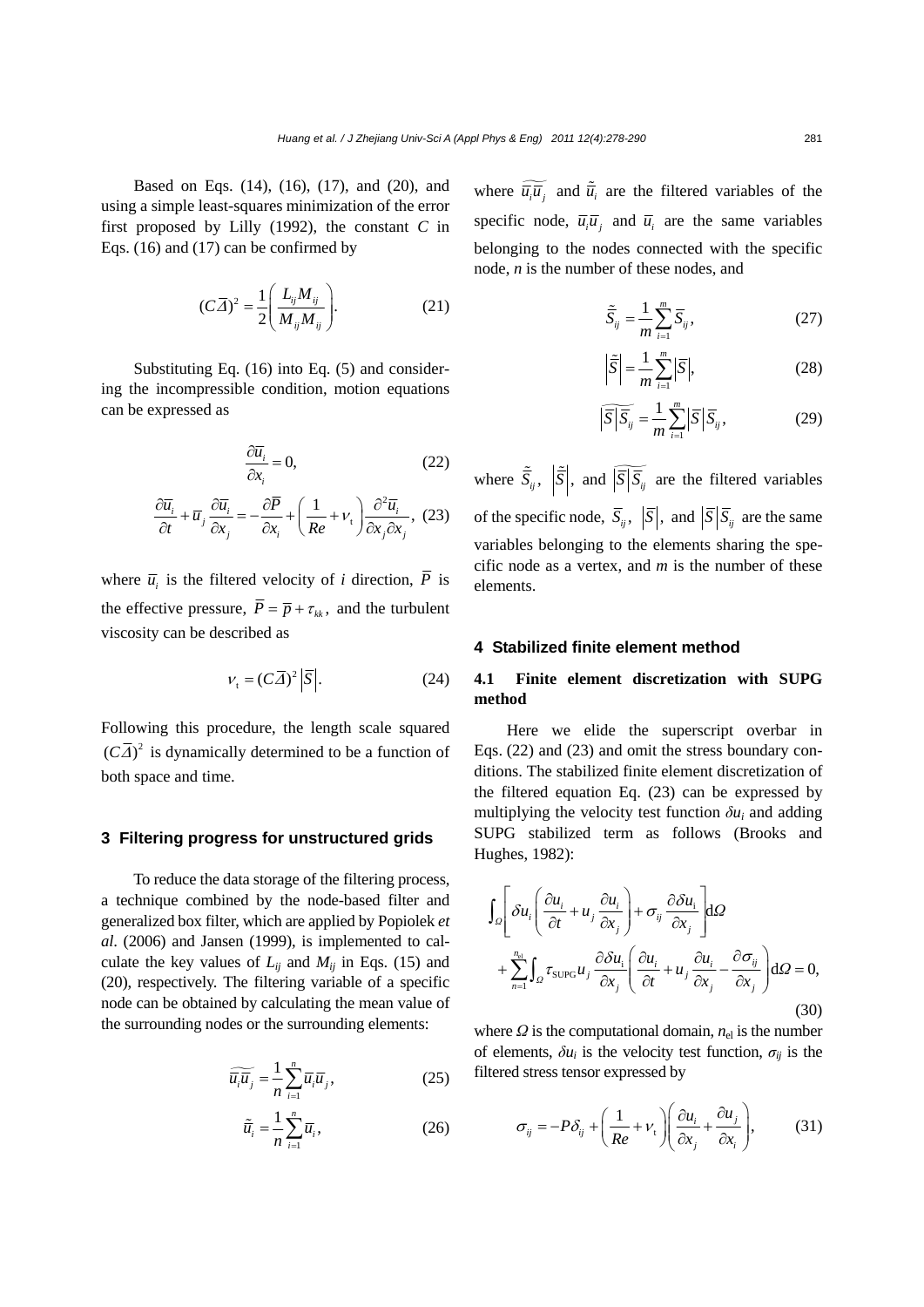Based on Eqs. (14), (16), (17), and (20), and using a simple least-squares minimization of the error first proposed by Lilly (1992), the constant *C* in Eqs. (16) and (17) can be confirmed by

$$
(C\overline{A})^2 = \frac{1}{2} \left( \frac{L_{ij} M_{ij}}{M_{ij} M_{ij}} \right).
$$
 (21)

Substituting Eq. (16) into Eq. (5) and considering the incompressible condition, motion equations can be expressed as

$$
\frac{\partial \overline{u}_i}{\partial x_i} = 0, \qquad (22)
$$

$$
\frac{\partial \overline{u}_i}{\partial t} + \overline{u}_j \frac{\partial \overline{u}_i}{\partial x_j} = -\frac{\partial \overline{P}}{\partial x_i} + \left(\frac{1}{Re} + v_t\right) \frac{\partial^2 \overline{u}_i}{\partial x_j \partial x_j}, \qquad (23)
$$

*j*  $\alpha_i$   $\alpha_j$   $\alpha_j$ 

where  $\overline{u}_i$  is the filtered velocity of *i* direction,  $\overline{P}$  is the effective pressure,  $\overline{P} = \overline{p} + \tau_{ik}$ , and the turbulent viscosity can be described as

$$
v_t = (C\overline{A})^2 |\overline{S}|. \tag{24}
$$

Following this procedure, the length scale squared  $(C\overline{A})^2$  is dynamically determined to be a function of both space and time.

## **3 Filtering progress for unstructured grids**

To reduce the data storage of the filtering process, a technique combined by the node-based filter and generalized box filter, which are applied by Popiolek *et al*. (2006) and Jansen (1999), is implemented to calculate the key values of  $L_{ij}$  and  $M_{ij}$  in Eqs. (15) and (20), respectively. The filtering variable of a specific node can be obtained by calculating the mean value of the surrounding nodes or the surrounding elements:

$$
\widetilde{\overline{u_i}\overline{u}_j} = \frac{1}{n} \sum_{i=1}^n \overline{u}_i \overline{u}_j,
$$
 (25)

$$
\tilde{\overline{u}}_i = \frac{1}{n} \sum_{i=1}^n \overline{u}_i,\tag{26}
$$

where  $\widetilde{u_i u_j}$  and  $\widetilde{u_i}$  are the filtered variables of the specific node,  $\overline{u}_i \overline{u}_j$  and  $\overline{u}_i$  are the same variables belonging to the nodes connected with the specific node, *n* is the number of these nodes, and

$$
\tilde{\overline{S}}_{ij} = \frac{1}{m} \sum_{i=1}^{m} \overline{S}_{ij},
$$
\n(27)

$$
\tilde{\overline{S}} = \frac{1}{m} \sum_{i=1}^{m} |\overline{S}|,
$$
\n(28)

$$
\left|\overline{\overline{S}}\right|\overline{\overline{S}_{ij}} = \frac{1}{m} \sum_{i=1}^{m} \left|\overline{S}\right|\overline{S}_{ij},
$$
 (29)

where  $\tilde{S}_{ij}$ ,  $|\tilde{S}|$ , and  $|\overline{S}|\overline{S}_{ij}$  are the filtered variables of the specific node,  $\overline{S}_{ij}$ ,  $|\overline{S}|$ , and  $|\overline{S}|\overline{S}_{ij}$  are the same variables belonging to the elements sharing the specific node as a vertex, and *m* is the number of these elements.

## **4 Stabilized finite element method**

## **4.1 Finite element discretization with SUPG method**

Here we elide the superscript overbar in Eqs. (22) and (23) and omit the stress boundary conditions. The stabilized finite element discretization of the filtered equation Eq. (23) can be expressed by multiplying the velocity test function  $\delta u_i$  and adding SUPG stabilized term as follows (Brooks and Hughes, 1982):

$$
\int_{\Omega} \left[ \delta u_i \left( \frac{\partial u_i}{\partial t} + u_j \frac{\partial u_i}{\partial x_j} \right) + \sigma_{ij} \frac{\partial \delta u_i}{\partial x_j} \right] d\Omega
$$
  
+ 
$$
\sum_{n=1}^{n_{\text{el}}} \int_{\Omega} \tau_{\text{SUPG}} u_j \frac{\partial \delta u_i}{\partial x_j} \left( \frac{\partial u_i}{\partial t} + u_j \frac{\partial u_i}{\partial x_j} - \frac{\partial \sigma_{ij}}{\partial x_j} \right) d\Omega = 0,
$$
(30)

where  $\Omega$  is the computational domain,  $n_{el}$  is the number of elements,  $\delta u_i$  is the velocity test function,  $\sigma_{ij}$  is the filtered stress tensor expressed by

$$
\sigma_{ij} = -P\delta_{ij} + \left(\frac{1}{Re} + v_t\right) \left(\frac{\partial u_i}{\partial x_j} + \frac{\partial u_j}{\partial x_i}\right),\tag{31}
$$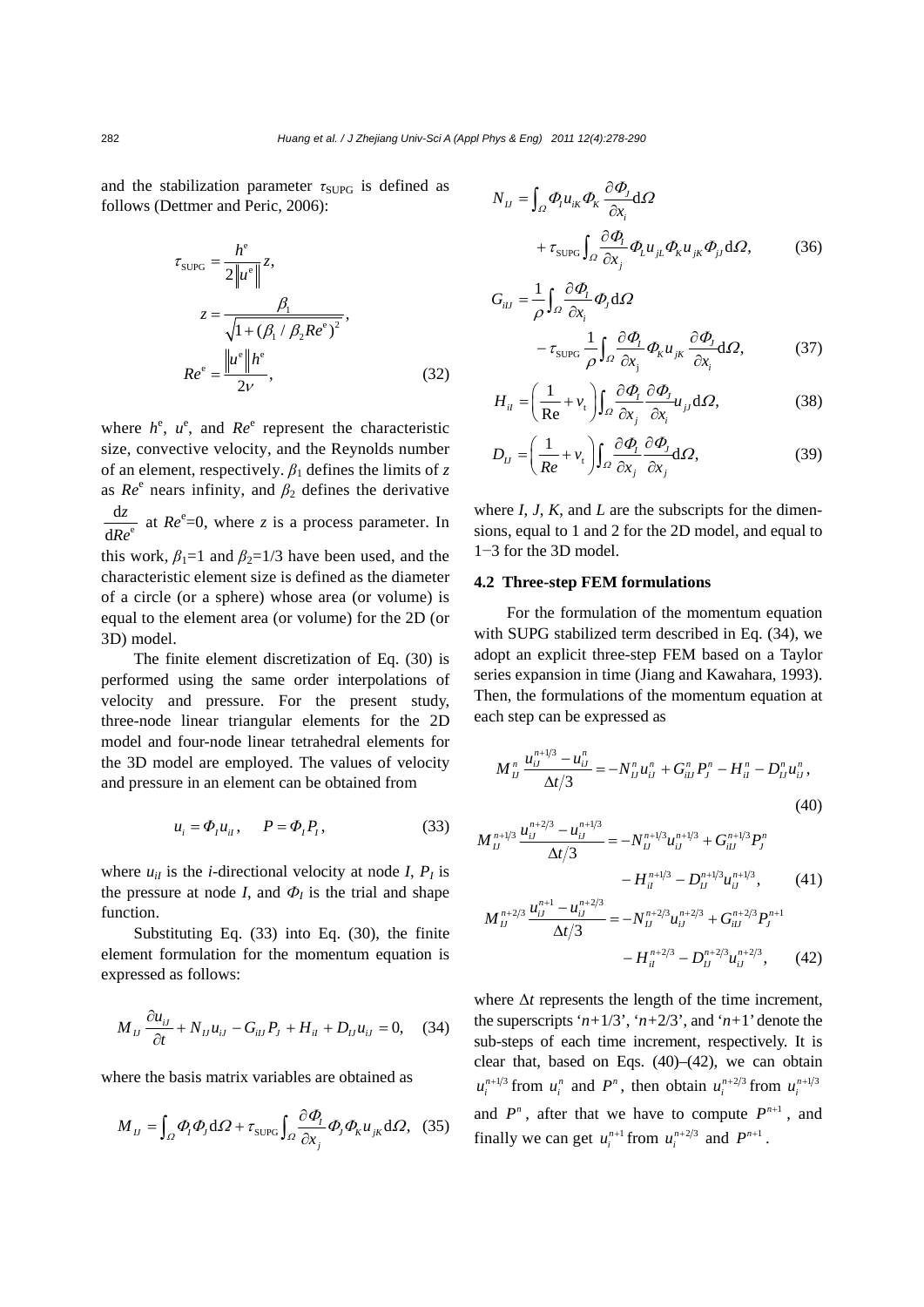and the stabilization parameter  $\tau_{\text{SUPG}}$  is defined as follows (Dettmer and Peric, 2006):

$$
\tau_{\text{SUPG}} = \frac{h^e}{2\|u^e\|} z,
$$
\n
$$
z = \frac{\beta_1}{\sqrt{1 + (\beta_1 / \beta_2 Re^e)^2}},
$$
\n
$$
Re^e = \frac{\|u^e\|h^e}{2\nu},
$$
\n(32)

where  $h^e$ ,  $u^e$ , and  $Re^e$  represent the characteristic size, convective velocity, and the Reynolds number of an element, respectively. *β*1 defines the limits of *z* as  $Re^e$  nears infinity, and  $\beta_2$  defines the derivative e d d *z Re* at  $Re^e = 0$ , where *z* is a process parameter. In this work,  $\beta_1=1$  and  $\beta_2=1/3$  have been used, and the characteristic element size is defined as the diameter of a circle (or a sphere) whose area (or volume) is equal to the element area (or volume) for the 2D (or 3D) model.

The finite element discretization of Eq. (30) is performed using the same order interpolations of velocity and pressure. For the present study, three-node linear triangular elements for the 2D model and four-node linear tetrahedral elements for the 3D model are employed. The values of velocity and pressure in an element can be obtained from

$$
u_i = \Phi_l u_{ii}, \qquad P = \Phi_l P_l,\tag{33}
$$

where  $u_{il}$  is the *i*-directional velocity at node *I*,  $P_l$  is the pressure at node *I*, and  $\Phi$ *I* is the trial and shape function.

Substituting Eq. (33) into Eq. (30), the finite element formulation for the momentum equation is expressed as follows:

$$
M_{IJ} \frac{\partial u_{iJ}}{\partial t} + N_{IJ} u_{iJ} - G_{iIJ} P_J + H_{il} + D_{IJ} u_{iJ} = 0, \quad (34)
$$

where the basis matrix variables are obtained as

$$
M_{IJ} = \int_{\Omega} \Phi_{I} \Phi_{J} \, d\Omega + \tau_{\text{SUPG}} \int_{\Omega} \frac{\partial \Phi_{I}}{\partial x_{j}} \Phi_{J} \Phi_{K} u_{jk} \, d\Omega, \tag{35}
$$

$$
N_{IJ} = \int_{\Omega} \Phi_{I} u_{ik} \Phi_{K} \frac{\partial \Phi_{J}}{\partial x_{i}} d\Omega + \tau_{\text{SUPG}} \int_{\Omega} \frac{\partial \Phi_{I}}{\partial x_{j}} \Phi_{L} u_{jL} \Phi_{K} u_{jk} \Phi_{jj} d\Omega,
$$
(36)

$$
G_{iJ} = \frac{1}{\rho} \int_{\Omega} \frac{\partial \Phi_{i}}{\partial x_{i}} \Phi_{j} d\Omega
$$

$$
- \tau_{\text{SUPG}} \frac{1}{\rho} \int_{\Omega} \frac{\partial \Phi_{i}}{\partial x_{j}} \Phi_{K} u_{jk} \frac{\partial \Phi_{j}}{\partial x_{i}} d\Omega, \qquad (37)
$$

$$
H_{il} = \left(\frac{1}{\text{Re}} + v_t\right) \int_{\Omega} \frac{\partial \Phi_l}{\partial x_j} \frac{\partial \Phi_j}{\partial x_i} u_{jl} \, d\Omega,\tag{38}
$$

$$
D_{IJ} = \left(\frac{1}{Re} + v_t\right) \int_{\Omega} \frac{\partial \varPhi_i}{\partial x_j} \frac{\partial \varPhi_j}{\partial x_j} d\Omega, \tag{39}
$$

where *I*, *J*, *K*, and *L* are the subscripts for the dimensions, equal to 1 and 2 for the 2D model, and equal to 1−3 for the 3D model.

### **4.2 Three-step FEM formulations**

For the formulation of the momentum equation with SUPG stabilized term described in Eq. (34), we adopt an explicit three-step FEM based on a Taylor series expansion in time (Jiang and Kawahara, 1993). Then, the formulations of the momentum equation at each step can be expressed as

$$
M_{IJ}^n \frac{u_{iJ}^{n+1/3} - u_{iJ}^n}{\Delta t/3} = -N_{IJ}^n u_{iJ}^n + G_{iIJ}^n P_J^n - H_{iI}^n - D_{IJ}^n u_{iJ}^n,
$$
\n(40)

$$
M_{IJ}^{n+1/3} \frac{u_{ij}^{n+2/3} - u_{ij}^{n+1/3}}{\Delta t/3} = -N_{IJ}^{n+1/3} u_{ij}^{n+1/3} + G_{iIJ}^{n+1/3} P_J^n
$$

$$
-H_{il}^{n+1/3} - D_{IJ}^{n+1/3} u_{ij}^{n+1/3}, \qquad (41)
$$

$$
M_{IJ}^{n+2/3} \frac{u_{iJ}^{n+1} - u_{iJ}^{n+2/3}}{\Delta t/3} = -N_{IJ}^{n+2/3} u_{iJ}^{n+2/3} + G_{iIJ}^{n+2/3} P_J^{n+1}
$$

$$
-H_{il}^{n+2/3} - D_{IJ}^{n+2/3} u_{iJ}^{n+2/3}, \qquad (42)
$$

where  $\Delta t$  represents the length of the time increment, the superscripts ' $n+1/3$ ', ' $n+2/3$ ', and ' $n+1$ ' denote the sub-steps of each time increment, respectively. It is clear that, based on Eqs.  $(40)$ – $(42)$ , we can obtain  $u_i^{n+1/3}$  from  $u_i^n$  and  $P^n$ , then obtain  $u_i^{n+2/3}$  from  $u_i^{n+1/3}$ and  $P^n$ , after that we have to compute  $P^{n+1}$ , and finally we can get  $u_i^{n+1}$  from  $u_i^{n+2/3}$  and  $P^{n+1}$ .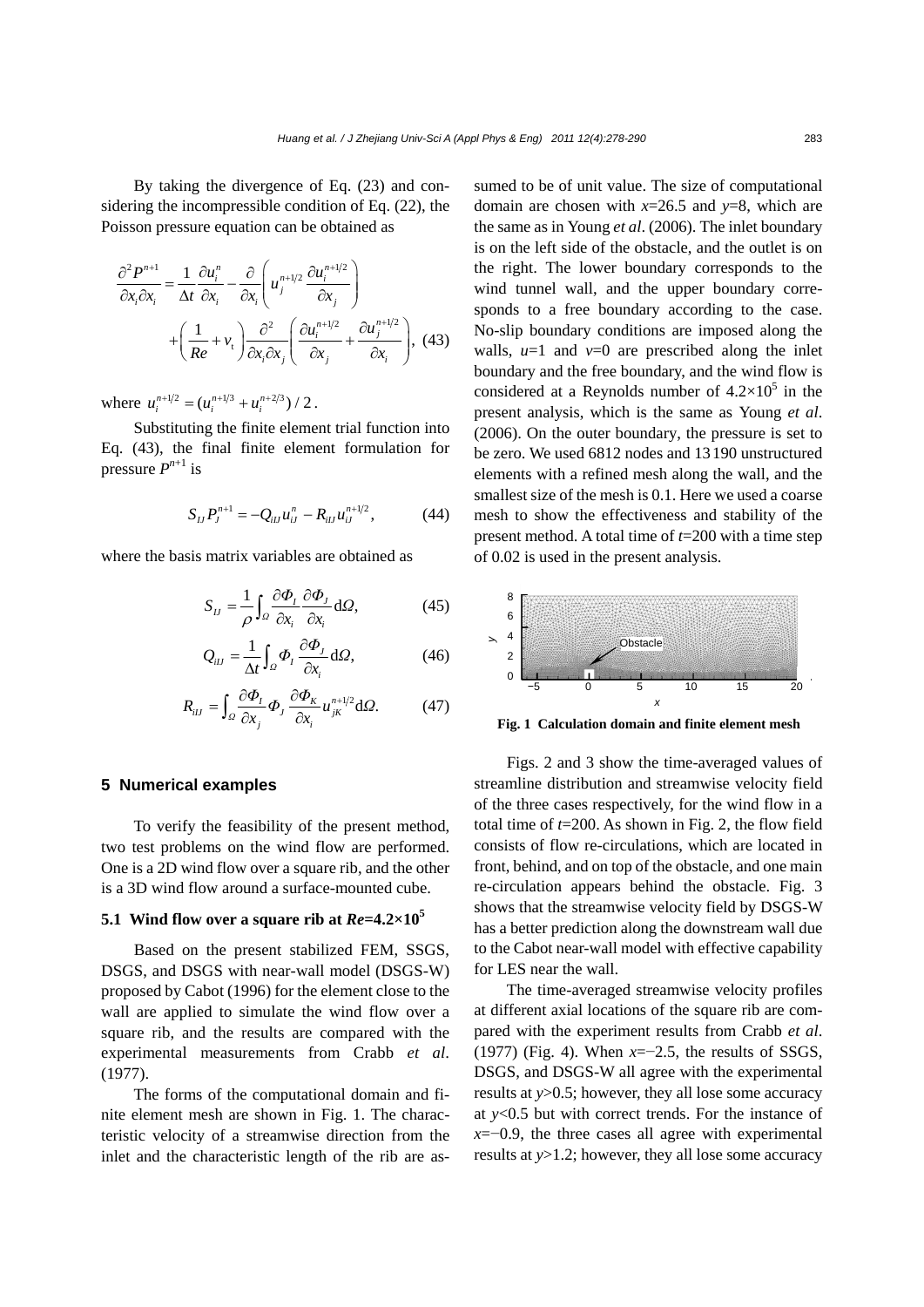By taking the divergence of Eq. (23) and considering the incompressible condition of Eq. (22), the Poisson pressure equation can be obtained as

$$
\frac{\partial^2 P^{n+1}}{\partial x_i \partial x_i} = \frac{1}{\Delta t} \frac{\partial u_i^n}{\partial x_i} - \frac{\partial}{\partial x_i} \left( u_j^{n+1/2} \frac{\partial u_i^{n+1/2}}{\partial x_j} \right) + \left( \frac{1}{Re} + v_t \right) \frac{\partial^2}{\partial x_i \partial x_j} \left( \frac{\partial u_i^{n+1/2}}{\partial x_j} + \frac{\partial u_j^{n+1/2}}{\partial x_i} \right), \tag{43}
$$

where  $u_i^{n+1/2} = (u_i^{n+1/3} + u_i^{n+2/3}) / 2$ .

Substituting the finite element trial function into Eq. (43), the final finite element formulation for pressure  $P^{n+1}$  is

$$
S_{IJ}P_J^{n+1} = -Q_{iIJ}u_{iJ}^n - R_{iIJ}u_{iJ}^{n+1/2}, \qquad (44)
$$

where the basis matrix variables are obtained as

$$
S_{IJ} = \frac{1}{\rho} \int_{\Omega} \frac{\partial \Phi_I}{\partial x_i} \frac{\partial \Phi_J}{\partial x_i} d\Omega, \tag{45}
$$

$$
Q_{iJ} = \frac{1}{\Delta t} \int_{\Omega} \Phi_I \frac{\partial \Phi_J}{\partial x_i} d\Omega, \tag{46}
$$

$$
R_{iJ} = \int_{\Omega} \frac{\partial \Phi_I}{\partial x_j} \Phi_J \frac{\partial \Phi_K}{\partial x_i} u_{jk}^{n+1/2} d\Omega.
$$
 (47)

## **5 Numerical examples**

To verify the feasibility of the present method, two test problems on the wind flow are performed. One is a 2D wind flow over a square rib, and the other is a 3D wind flow around a surface-mounted cube.

## **5.1 Wind flow over a square rib at**  $Re=4.2\times10^5$

Based on the present stabilized FEM, SSGS, DSGS, and DSGS with near-wall model (DSGS-W) proposed by Cabot (1996) for the element close to the wall are applied to simulate the wind flow over a square rib, and the results are compared with the experimental measurements from Crabb *et al*. (1977).

The forms of the computational domain and finite element mesh are shown in Fig. 1. The characteristic velocity of a streamwise direction from the inlet and the characteristic length of the rib are assumed to be of unit value. The size of computational domain are chosen with *x*=26.5 and *y*=8, which are the same as in Young *et al*. (2006). The inlet boundary is on the left side of the obstacle, and the outlet is on the right. The lower boundary corresponds to the wind tunnel wall, and the upper boundary corresponds to a free boundary according to the case. No-slip boundary conditions are imposed along the walls,  $u=1$  and  $v=0$  are prescribed along the inlet boundary and the free boundary, and the wind flow is considered at a Reynolds number of  $4.2 \times 10^5$  in the present analysis, which is the same as Young *et al*. (2006). On the outer boundary, the pressure is set to be zero. We used 6812 nodes and 13190 unstructured elements with a refined mesh along the wall, and the smallest size of the mesh is 0.1. Here we used a coarse mesh to show the effectiveness and stability of the present method. A total time of *t*=200 with a time step of 0.02 is used in the present analysis.



**Fig. 1 Calculation domain and finite element mesh**

Figs. 2 and 3 show the time-averaged values of streamline distribution and streamwise velocity field of the three cases respectively, for the wind flow in a total time of *t*=200. As shown in Fig. 2, the flow field consists of flow re-circulations, which are located in front, behind, and on top of the obstacle, and one main re-circulation appears behind the obstacle. Fig. 3 shows that the streamwise velocity field by DSGS-W has a better prediction along the downstream wall due to the Cabot near-wall model with effective capability for LES near the wall.

The time-averaged streamwise velocity profiles at different axial locations of the square rib are compared with the experiment results from Crabb *et al*. (1977) (Fig. 4). When *x*=−2.5, the results of SSGS, DSGS, and DSGS-W all agree with the experimental results at *y*>0.5; however, they all lose some accuracy at *y*<0.5 but with correct trends. For the instance of *x*=−0.9, the three cases all agree with experimental results at *y*>1.2; however, they all lose some accuracy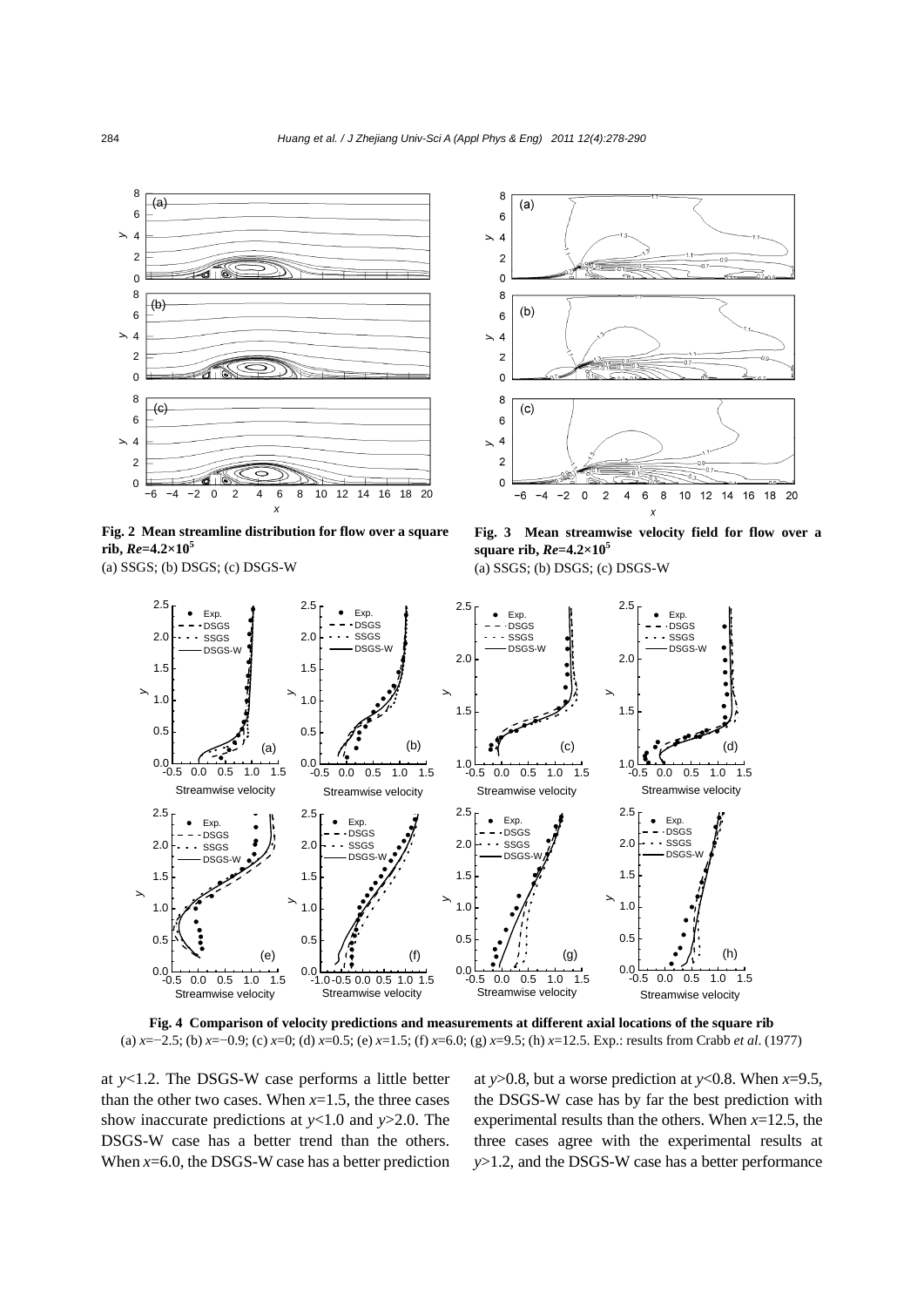

**Fig. 2 Mean streamline distribution for flow over a square**   $rib, Re=4.2\times10^5$ 

(a) SSGS; (b) DSGS; (c) DSGS-W



**Fig. 3 Mean streamwise velocity field for flow over a square rib,** *Re***=4.2×105** 

(a) SSGS; (b) DSGS; (c) DSGS-W



**Fig. 4 Comparison of velocity predictions and measurements at different axial locations of the square rib**  (a) *x*=−2.5; (b) *x*=−0.9; (c) *x*=0; (d) *x*=0.5; (e) *x*=1.5; (f) *x*=6.0; (g) *x*=9.5; (h) *x*=12.5. Exp.: results from Crabb *et al*. (1977)

at *y*<1.2. The DSGS-W case performs a little better than the other two cases. When  $x=1.5$ , the three cases show inaccurate predictions at *y*<1.0 and *y*>2.0. The DSGS-W case has a better trend than the others. When *x*=6.0, the DSGS-W case has a better prediction at *y*>0.8, but a worse prediction at *y*<0.8. When *x*=9.5, the DSGS-W case has by far the best prediction with experimental results than the others. When *x*=12.5, the three cases agree with the experimental results at *y*>1.2, and the DSGS-W case has a better performance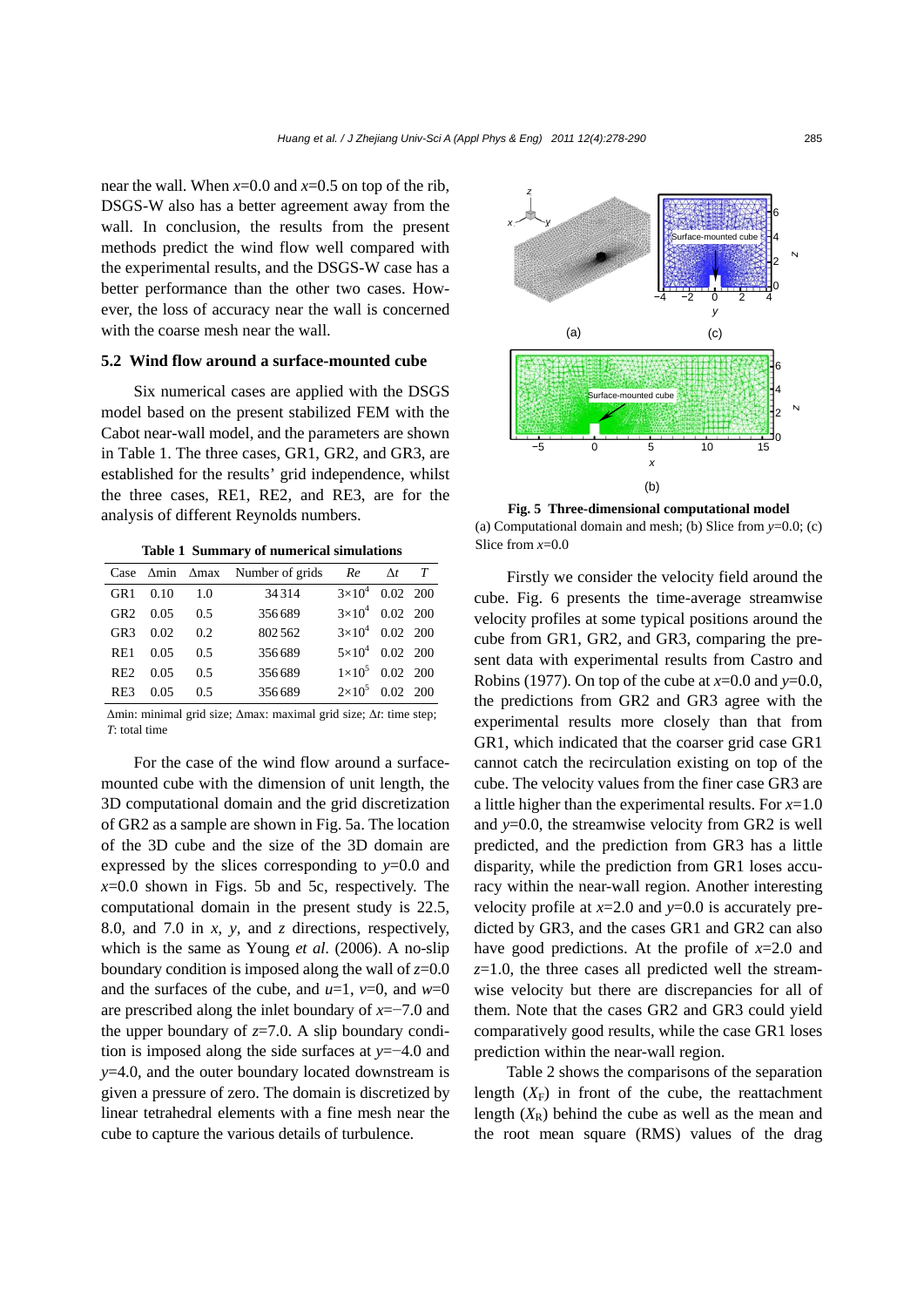near the wall. When *x*=0.0 and *x*=0.5 on top of the rib, DSGS-W also has a better agreement away from the wall. In conclusion, the results from the present methods predict the wind flow well compared with the experimental results, and the DSGS-W case has a better performance than the other two cases. However, the loss of accuracy near the wall is concerned with the coarse mesh near the wall.

### **5.2 Wind flow around a surface-mounted cube**

Six numerical cases are applied with the DSGS model based on the present stabilized FEM with the Cabot near-wall model, and the parameters are shown in Table 1. The three cases, GR1, GR2, and GR3, are established for the results' grid independence, whilst the three cases, RE1, RE2, and RE3, are for the analysis of different Reynolds numbers.

**Table 1 Summary of numerical simulations**

|                 |                  |     | Case $\Delta$ min $\Delta$ max Number of grids | Re                       | $\Delta t$ T |  |
|-----------------|------------------|-----|------------------------------------------------|--------------------------|--------------|--|
| GR1             | 0.10             | 1.0 | 34314                                          | $3\times10^4$ 0.02 200   |              |  |
|                 | $GR2 \quad 0.05$ | 0.5 | 356689                                         | $3\times10^4$ 0.02 200   |              |  |
| GR <sub>3</sub> | 0.02             | 0.2 | 802562                                         | $3\times10^4$ 0.02 200   |              |  |
| RE1             | 0.05             | 0.5 | 356689                                         | $5 \times 10^4$ 0.02 200 |              |  |
| RE2             | 0.05             | 0.5 | 356689                                         | $1 \times 10^5$ 0.02 200 |              |  |
| RE3             | 0.05             | 0.5 | 356689                                         | $2\times10^5$ 0.02 200   |              |  |

Δmin: minimal grid size; Δmax: maximal grid size; Δ*t*: time step; *T*: total time

For the case of the wind flow around a surfacemounted cube with the dimension of unit length, the 3D computational domain and the grid discretization of GR2 as a sample are shown in Fig. 5a. The location of the 3D cube and the size of the 3D domain are expressed by the slices corresponding to *y*=0.0 and  $x=0.0$  shown in Figs. 5b and 5c, respectively. The computational domain in the present study is 22.5, 8.0, and 7.0 in *x*, *y*, and *z* directions, respectively, which is the same as Young *et al*. (2006). A no-slip boundary condition is imposed along the wall of  $z=0.0$ and the surfaces of the cube, and  $u=1$ ,  $v=0$ , and  $w=0$ are prescribed along the inlet boundary of *x*=−7.0 and the upper boundary of  $z=7.0$ . A slip boundary condition is imposed along the side surfaces at *y*=−4.0 and *y*=4.0, and the outer boundary located downstream is given a pressure of zero. The domain is discretized by linear tetrahedral elements with a fine mesh near the cube to capture the various details of turbulence.



**Fig. 5 Three-dimensional computational model**  (a) Computational domain and mesh; (b) Slice from *y*=0.0; (c) Slice from *x*=0.0

Firstly we consider the velocity field around the cube. Fig. 6 presents the time-average streamwise velocity profiles at some typical positions around the cube from GR1, GR2, and GR3, comparing the present data with experimental results from Castro and Robins (1977). On top of the cube at *x*=0.0 and *y*=0.0, the predictions from GR2 and GR3 agree with the experimental results more closely than that from GR1, which indicated that the coarser grid case GR1 cannot catch the recirculation existing on top of the cube. The velocity values from the finer case GR3 are a little higher than the experimental results. For *x*=1.0 and *y*=0.0, the streamwise velocity from GR2 is well predicted, and the prediction from GR3 has a little disparity, while the prediction from GR1 loses accuracy within the near-wall region. Another interesting velocity profile at *x*=2.0 and *y*=0.0 is accurately predicted by GR3, and the cases GR1 and GR2 can also have good predictions. At the profile of *x*=2.0 and  $z=1.0$ , the three cases all predicted well the streamwise velocity but there are discrepancies for all of them. Note that the cases GR2 and GR3 could yield comparatively good results, while the case GR1 loses prediction within the near-wall region.

Table 2 shows the comparisons of the separation length  $(X_F)$  in front of the cube, the reattachment length  $(X_R)$  behind the cube as well as the mean and the root mean square (RMS) values of the drag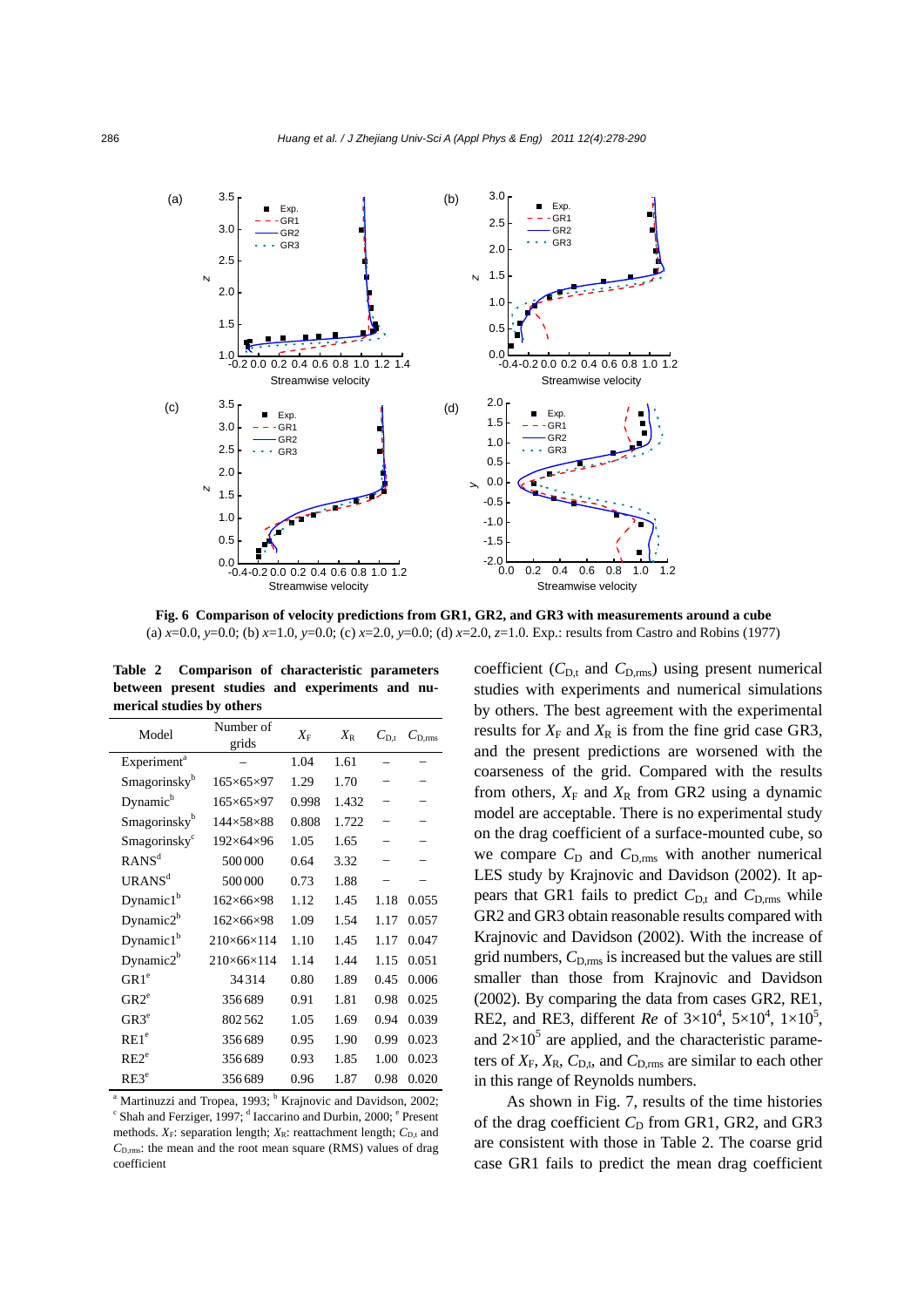

**Fig. 6 Comparison of velocity predictions from GR1, GR2, and GR3 with measurements around a cube**  (a) *x*=0.0, *y*=0.0; (b) *x*=1.0, *y*=0.0; (c) *x*=2.0, *y*=0.0; (d) *x*=2.0, *z*=1.0. Exp.: results from Castro and Robins (1977)

**Table 2 Comparison of characteristic parameters between present studies and experiments and numerical studies by others**

| Model                    | Number of<br>grids       | $X_{\rm F}$ | $X_{\rm R}$ | $C_{\text{D}t}$ | $C_{\text{D,rms}}$ |
|--------------------------|--------------------------|-------------|-------------|-----------------|--------------------|
| Experiment <sup>a</sup>  |                          | 1.04        | 1.61        |                 |                    |
| Smagorinsky <sup>b</sup> | $165\times 65\times 97$  | 1.29        | 1.70        |                 |                    |
| Dynamic <sup>b</sup>     | $165\times 65\times 97$  | 0.998       | 1.432       |                 |                    |
| Smagorinsky <sup>b</sup> | 144×58×88                | 0.808       | 1.722       |                 |                    |
| Smagorinsky <sup>c</sup> | 192×64×96                | 1.05        | 1.65        |                 |                    |
| RANS <sup>d</sup>        | 500000                   | 0.64        | 3.32        |                 |                    |
| URANS <sup>d</sup>       | 500000                   | 0.73        | 1.88        |                 |                    |
| Dynamic1 <sup>b</sup>    | $162\times 66\times 98$  | 1.12        | 1.45        | 1.18            | 0.055              |
| Dynamic $2^b$            | $162\times 66\times 98$  | 1.09        | 1.54        | 1.17            | 0.057              |
| Dynamic $1b$             | 210×66×114               | 1.10        | 1.45        | 1.17            | 0.047              |
| Dynamic $2^b$            | $210\times 66\times 114$ | 1.14        | 1.44        | 1.15            | 0.051              |
| GR1 <sup>e</sup>         | 34314                    | 0.80        | 1.89        | 0.45            | 0.006              |
| GR2 <sup>e</sup>         | 356689                   | 0.91        | 1.81        | 0.98            | 0.025              |
| GR3 <sup>e</sup>         | 802562                   | 1.05        | 1.69        | 0.94            | 0.039              |
| RE1 <sup>e</sup>         | 356689                   | 0.95        | 1.90        | 0.99            | 0.023              |
| RE2 <sup>e</sup>         | 356689                   | 0.93        | 1.85        | 1.00            | 0.023              |
| $RE3^e$                  | 356689                   | 0.96        | 1.87        | 0.98            | 0.020              |

<sup>a</sup> Martinuzzi and Tropea, 1993; <sup>b</sup> Krajnovic and Davidson, 2002;<br><sup>c</sup> Shah and Fergies: 1007; <sup>d</sup> Jecesius and Durbin, 2000; <sup>e</sup> Present Shah and Ferziger, 1997; d Iaccarino and Durbin, 2000; <sup>e</sup> Present methods.  $X_F$ : separation length;  $X_R$ : reattachment length;  $C_{D,t}$  and *C*D,rms: the mean and the root mean square (RMS) values of drag coefficient

coefficient  $(C_{D,t}$  and  $C_{D,rms}$ ) using present numerical studies with experiments and numerical simulations by others. The best agreement with the experimental results for  $X_F$  and  $X_R$  is from the fine grid case GR3, and the present predictions are worsened with the coarseness of the grid. Compared with the results from others,  $X_F$  and  $X_R$  from GR2 using a dynamic model are acceptable. There is no experimental study on the drag coefficient of a surface-mounted cube, so we compare  $C_D$  and  $C_{D,rms}$  with another numerical LES study by Krajnovic and Davidson (2002). It appears that GR1 fails to predict  $C_{\text{D,t}}$  and  $C_{\text{D,rms}}$  while GR2 and GR3 obtain reasonable results compared with Krajnovic and Davidson (2002). With the increase of grid numbers,  $C_{D,rms}$  is increased but the values are still smaller than those from Krajnovic and Davidson (2002). By comparing the data from cases GR2, RE1, RE2, and RE3, different *Re* of  $3 \times 10^4$ ,  $5 \times 10^4$ ,  $1 \times 10^5$ , and  $2\times10^5$  are applied, and the characteristic parameters of  $X_F$ ,  $X_R$ ,  $C_{D,t}$ , and  $C_{D,rms}$  are similar to each other in this range of Reynolds numbers.

As shown in Fig. 7, results of the time histories of the drag coefficient  $C_D$  from GR1, GR2, and GR3 are consistent with those in Table 2. The coarse grid case GR1 fails to predict the mean drag coefficient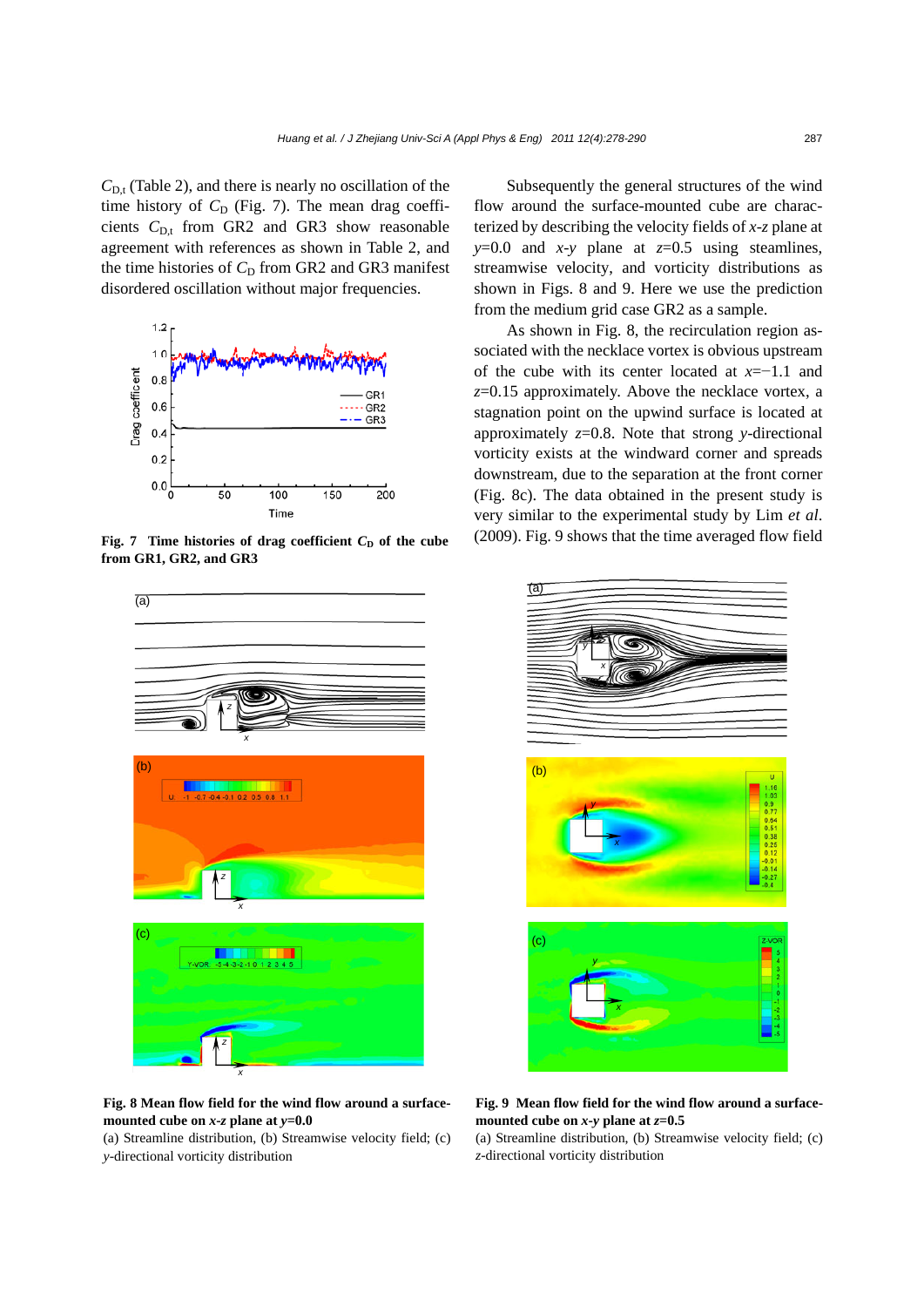$C_{D,t}$  (Table 2), and there is nearly no oscillation of the time history of  $C_D$  (Fig. 7). The mean drag coefficients  $C_{D,t}$  from GR2 and GR3 show reasonable agreement with references as shown in Table 2, and the time histories of  $C_D$  from GR2 and GR3 manifest disordered oscillation without major frequencies.



**Fig. 7** Time histories of drag coefficient  $C<sub>D</sub>$  of the cube **from GR1, GR2, and GR3**



**Fig. 8 Mean flow field for the wind flow around a surfacemounted cube on** *x***-***z* **plane at** *y***=0.0** 

(a) Streamline distribution, (b) Streamwise velocity field; (c) *y*-directional vorticity distribution

Subsequently the general structures of the wind flow around the surface-mounted cube are characterized by describing the velocity fields of *x*-*z* plane at  $y=0.0$  and  $x-y$  plane at  $z=0.5$  using steamlines, streamwise velocity, and vorticity distributions as shown in Figs. 8 and 9. Here we use the prediction from the medium grid case GR2 as a sample.

As shown in Fig. 8, the recirculation region associated with the necklace vortex is obvious upstream of the cube with its center located at *x*=−1.1 and *z*=0.15 approximately. Above the necklace vortex, a stagnation point on the upwind surface is located at approximately *z*=0.8. Note that strong *y*-directional vorticity exists at the windward corner and spreads downstream, due to the separation at the front corner (Fig. 8c). The data obtained in the present study is very similar to the experimental study by Lim *et al*. (2009). Fig. 9 shows that the time averaged flow field



**Fig. 9 Mean flow field for the wind flow around a surface**mounted cube on  $x$ -y plane at  $z$ =0.5

(a) Streamline distribution, (b) Streamwise velocity field; (c) *z*-directional vorticity distribution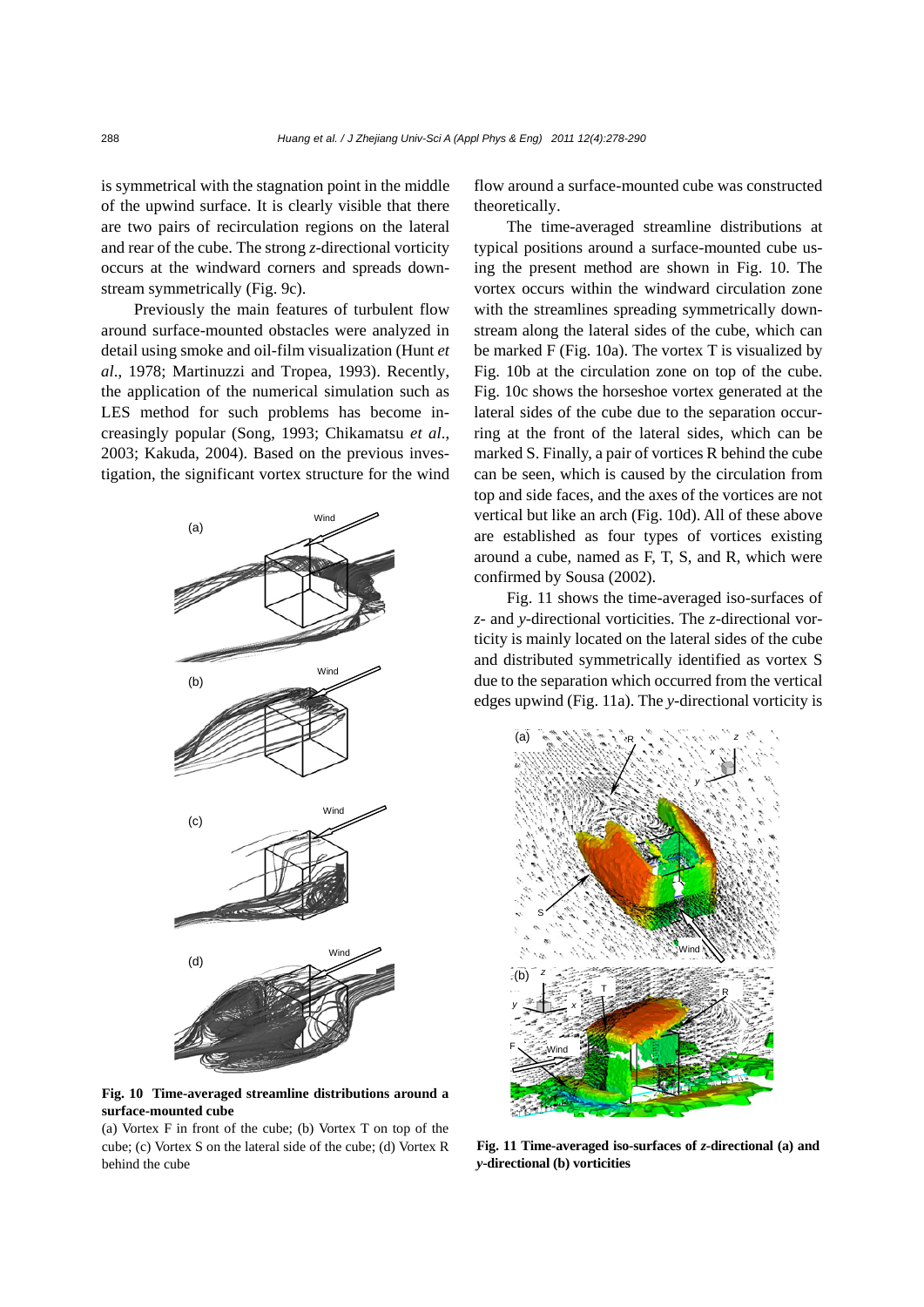is symmetrical with the stagnation point in the middle of the upwind surface. It is clearly visible that there are two pairs of recirculation regions on the lateral and rear of the cube. The strong *z*-directional vorticity occurs at the windward corners and spreads downstream symmetrically (Fig. 9c).

Previously the main features of turbulent flow around surface-mounted obstacles were analyzed in detail using smoke and oil-film visualization (Hunt *et al*., 1978; Martinuzzi and Tropea, 1993). Recently, the application of the numerical simulation such as LES method for such problems has become increasingly popular (Song, 1993; Chikamatsu *et al*., 2003; Kakuda, 2004). Based on the previous investigation, the significant vortex structure for the wind



**Fig. 10 Time-averaged streamline distributions around a surface-mounted cube** 

(a) Vortex F in front of the cube; (b) Vortex T on top of the cube; (c) Vortex S on the lateral side of the cube; (d) Vortex R behind the cube

flow around a surface-mounted cube was constructed theoretically.

The time-averaged streamline distributions at typical positions around a surface-mounted cube using the present method are shown in Fig. 10. The vortex occurs within the windward circulation zone with the streamlines spreading symmetrically downstream along the lateral sides of the cube, which can be marked F (Fig. 10a). The vortex T is visualized by Fig. 10b at the circulation zone on top of the cube. Fig. 10c shows the horseshoe vortex generated at the lateral sides of the cube due to the separation occurring at the front of the lateral sides, which can be marked S. Finally, a pair of vortices R behind the cube can be seen, which is caused by the circulation from top and side faces, and the axes of the vortices are not vertical but like an arch (Fig. 10d). All of these above are established as four types of vortices existing around a cube, named as F, T, S, and R, which were confirmed by Sousa (2002).

Fig. 11 shows the time-averaged iso-surfaces of *z*- and *y*-directional vorticities. The *z*-directional vorticity is mainly located on the lateral sides of the cube and distributed symmetrically identified as vortex S due to the separation which occurred from the vertical edges upwind (Fig. 11a). The *y*-directional vorticity is



**Fig. 11 Time-averaged iso-surfaces of** *z***-directional (a) and**  *y***-directional (b) vorticities**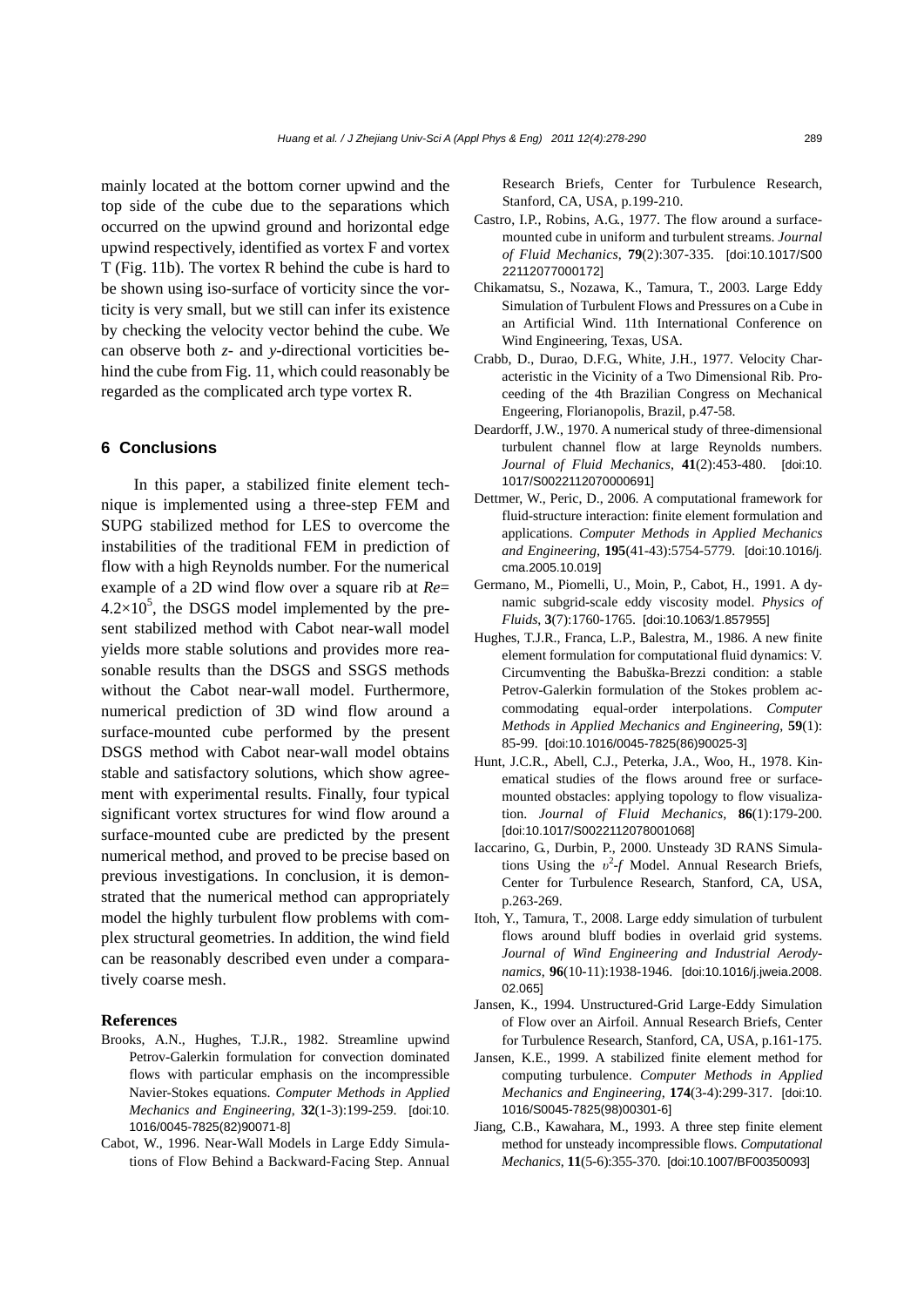mainly located at the bottom corner upwind and the top side of the cube due to the separations which occurred on the upwind ground and horizontal edge upwind respectively, identified as vortex F and vortex T (Fig. 11b). The vortex R behind the cube is hard to be shown using iso-surface of vorticity since the vorticity is very small, but we still can infer its existence by checking the velocity vector behind the cube. We can observe both *z*- and *y*-directional vorticities behind the cube from Fig. 11, which could reasonably be regarded as the complicated arch type vortex R.

## **6 Conclusions**

In this paper, a stabilized finite element technique is implemented using a three-step FEM and SUPG stabilized method for LES to overcome the instabilities of the traditional FEM in prediction of flow with a high Reynolds number. For the numerical example of a 2D wind flow over a square rib at *Re*=  $4.2 \times 10^5$ , the DSGS model implemented by the present stabilized method with Cabot near-wall model yields more stable solutions and provides more reasonable results than the DSGS and SSGS methods without the Cabot near-wall model. Furthermore, numerical prediction of 3D wind flow around a surface-mounted cube performed by the present DSGS method with Cabot near-wall model obtains stable and satisfactory solutions, which show agreement with experimental results. Finally, four typical significant vortex structures for wind flow around a surface-mounted cube are predicted by the present numerical method, and proved to be precise based on previous investigations. In conclusion, it is demonstrated that the numerical method can appropriately model the highly turbulent flow problems with complex structural geometries. In addition, the wind field can be reasonably described even under a comparatively coarse mesh.

## **References**

- Brooks, A.N., Hughes, T.J.R., 1982. Streamline upwind Petrov-Galerkin formulation for convection dominated flows with particular emphasis on the incompressible Navier-Stokes equations. *Computer Methods in Applied Mechanics and Engineering*, **32**(1-3):199-259. [doi:10. 1016/0045-7825(82)90071-8]
- Cabot, W., 1996. Near-Wall Models in Large Eddy Simulations of Flow Behind a Backward-Facing Step. Annual

Research Briefs, Center for Turbulence Research, Stanford, CA, USA, p.199-210.

- Castro, I.P., Robins, A.G., 1977. The flow around a surfacemounted cube in uniform and turbulent streams. *Journal of Fluid Mechanics*, **79**(2):307-335. [doi:10.1017/S00 22112077000172]
- Chikamatsu, S., Nozawa, K., Tamura, T., 2003. Large Eddy Simulation of Turbulent Flows and Pressures on a Cube in an Artificial Wind. 11th International Conference on Wind Engineering, Texas, USA.
- Crabb, D., Durao, D.F.G., White, J.H., 1977. Velocity Characteristic in the Vicinity of a Two Dimensional Rib. Proceeding of the 4th Brazilian Congress on Mechanical Engeering, Florianopolis, Brazil, p.47-58.
- Deardorff, J.W., 1970. A numerical study of three-dimensional turbulent channel flow at large Reynolds numbers. *Journal of Fluid Mechanics*, **41**(2):453-480. [doi:10. 1017/S0022112070000691]
- Dettmer, W., Peric, D., 2006. A computational framework for fluid-structure interaction: finite element formulation and applications. *Computer Methods in Applied Mechanics and Engineering*, **195**(41-43):5754-5779. [doi:10.1016/j. cma.2005.10.019]
- Germano, M., Piomelli, U., Moin, P., Cabot, H., 1991. A dynamic subgrid-scale eddy viscosity model. *Physics of Fluids*, **3**(7):1760-1765. [doi:10.1063/1.857955]
- Hughes, T.J.R., Franca, L.P., Balestra, M., 1986. A new finite element formulation for computational fluid dynamics: V. Circumventing the Babuška-Brezzi condition: a stable Petrov-Galerkin formulation of the Stokes problem accommodating equal-order interpolations. *Computer Methods in Applied Mechanics and Engineering*, **59**(1): 85-99. [doi:10.1016/0045-7825(86)90025-3]
- Hunt, J.C.R., Abell, C.J., Peterka, J.A., Woo, H., 1978. Kinematical studies of the flows around free or surfacemounted obstacles: applying topology to flow visualization. *Journal of Fluid Mechanics*, **86**(1):179-200. [doi:10.1017/S0022112078001068]
- Iaccarino, G., Durbin, P., 2000. Unsteady 3D RANS Simulations Using the  $v^2$ -*f* Model. Annual Research Briefs, Center for Turbulence Research, Stanford, CA, USA, p.263-269.
- Itoh, Y., Tamura, T., 2008. Large eddy simulation of turbulent flows around bluff bodies in overlaid grid systems. *Journal of Wind Engineering and Industrial Aerodynamics*, **96**(10-11):1938-1946. [doi:10.1016/j.jweia.2008. 02.065]
- Jansen, K., 1994. Unstructured-Grid Large-Eddy Simulation of Flow over an Airfoil. Annual Research Briefs, Center for Turbulence Research, Stanford, CA, USA, p.161-175.
- Jansen, K.E., 1999. A stabilized finite element method for computing turbulence. *Computer Methods in Applied Mechanics and Engineering*, **174**(3-4):299-317. [doi:10. 1016/S0045-7825(98)00301-6]
- Jiang, C.B., Kawahara, M., 1993. A three step finite element method for unsteady incompressible flows. *Computational Mechanics*, **11**(5-6):355-370. [doi:10.1007/BF00350093]